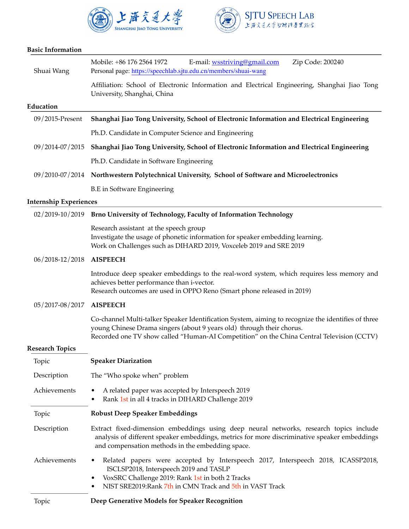



## **Basic Information**

| Shuai Wang                    | E-mail: wsstriving@gmail.com<br>Mobile: +86 176 2564 1972<br>Zip Code: 200240<br>Personal page: https://speechlab.sjtu.edu.cn/members/shuai-wang                                                                                                                         |
|-------------------------------|--------------------------------------------------------------------------------------------------------------------------------------------------------------------------------------------------------------------------------------------------------------------------|
|                               | Affiliation: School of Electronic Information and Electrical Engineering, Shanghai Jiao Tong<br>University, Shanghai, China                                                                                                                                              |
| Education                     |                                                                                                                                                                                                                                                                          |
| 09/2015-Present               | Shanghai Jiao Tong University, School of Electronic Information and Electrical Engineering                                                                                                                                                                               |
|                               | Ph.D. Candidate in Computer Science and Engineering                                                                                                                                                                                                                      |
| 09/2014-07/2015               | Shanghai Jiao Tong University, School of Electronic Information and Electrical Engineering                                                                                                                                                                               |
|                               | Ph.D. Candidate in Software Engineering                                                                                                                                                                                                                                  |
|                               | 09/2010-07/2014 Northwestern Polytechnical University, School of Software and Microelectronics                                                                                                                                                                           |
|                               | <b>B.E</b> in Software Engineering                                                                                                                                                                                                                                       |
| <b>Internship Experiences</b> |                                                                                                                                                                                                                                                                          |
|                               | 02/2019-10/2019 Brno University of Technology, Faculty of Information Technology                                                                                                                                                                                         |
|                               | Research assistant at the speech group<br>Investigate the usage of phonetic information for speaker embedding learning.<br>Work on Challenges such as DIHARD 2019, Voxceleb 2019 and SRE 2019                                                                            |
| 06/2018-12/2018               | <b>AISPEECH</b>                                                                                                                                                                                                                                                          |
|                               | Introduce deep speaker embeddings to the real-word system, which requires less memory and<br>achieves better performance than i-vector.<br>Research outcomes are used in OPPO Reno (Smart phone released in 2019)                                                        |
| 05/2017-08/2017               | <b>AISPEECH</b>                                                                                                                                                                                                                                                          |
|                               | Co-channel Multi-talker Speaker Identification System, aiming to recognize the identifies of three<br>young Chinese Drama singers (about 9 years old) through their chorus.<br>Recorded one TV show called "Human-AI Competition" on the China Central Television (CCTV) |
| <b>Research Topics</b>        |                                                                                                                                                                                                                                                                          |
| Topic                         | <b>Speaker Diarization</b>                                                                                                                                                                                                                                               |
| Description                   | The "Who spoke when" problem                                                                                                                                                                                                                                             |
| Achievements                  | A related paper was accepted by Interspeech 2019<br>Rank 1st in all 4 tracks in DIHARD Challenge 2019                                                                                                                                                                    |
| Topic                         | <b>Robust Deep Speaker Embeddings</b>                                                                                                                                                                                                                                    |
| Description                   | Extract fixed-dimension embeddings using deep neural networks, research topics include<br>analysis of different speaker embeddings, metrics for more discriminative speaker embeddings<br>and compensation methods in the embedding space.                               |
| Achievements                  | Related papers were accepted by Interspeech 2017, Interspeech 2018, ICASSP2018,<br>ISCLSP2018, Interspeech 2019 and TASLP<br>VoxSRC Challenge 2019: Rank 1st in both 2 Tracks<br>٠<br>NIST SRE2019: Rank 7th in CMN Track and 5th in VAST Track                          |
| Topic                         | Deep Generative Models for Speaker Recognition                                                                                                                                                                                                                           |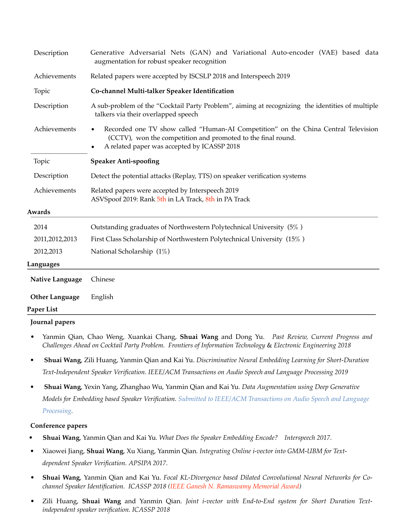| Description           | Generative Adversarial Nets (GAN) and Variational Auto-encoder (VAE) based data<br>augmentation for robust speaker recognition                                                                                 |
|-----------------------|----------------------------------------------------------------------------------------------------------------------------------------------------------------------------------------------------------------|
| Achievements          | Related papers were accepted by ISCSLP 2018 and Interspeech 2019                                                                                                                                               |
| Topic                 | Co-channel Multi-talker Speaker Identification                                                                                                                                                                 |
| Description           | A sub-problem of the "Cocktail Party Problem", aiming at recognizing the identities of multiple<br>talkers via their overlapped speech                                                                         |
| Achievements          | Recorded one TV show called "Human-AI Competition" on the China Central Television<br>(CCTV), won the competition and promoted to the final round.<br>A related paper was accepted by ICASSP 2018<br>$\bullet$ |
| Topic                 | <b>Speaker Anti-spoofing</b>                                                                                                                                                                                   |
| Description           | Detect the potential attacks (Replay, TTS) on speaker verification systems                                                                                                                                     |
| Achievements          | Related papers were accepted by Interspeech 2019<br>ASVSpoof 2019: Rank 5th in LA Track, 8th in PA Track                                                                                                       |
| Awards                |                                                                                                                                                                                                                |
| 2014                  | Outstanding graduates of Northwestern Polytechnical University (5%)                                                                                                                                            |
| 2011,2012,2013        | First Class Scholarship of Northwestern Polytechnical University (15%)                                                                                                                                         |
| 2012,2013             | National Scholarship (1%)                                                                                                                                                                                      |
| Languages             |                                                                                                                                                                                                                |
| Native Language       | Chinese                                                                                                                                                                                                        |
| <b>Other Language</b> | English                                                                                                                                                                                                        |
| Paper List            |                                                                                                                                                                                                                |
|                       |                                                                                                                                                                                                                |

## **Journal papers**

- Yanmin Qian, Chao Weng, Xuankai Chang, **Shuai Wang** and Dong Yu. *Past Review, Current Progress and Challenges Ahead on Cocktail Party Problem. Frontiers of Information Technology* & *Electronic Engineering 2018*
- *•* **Shuai Wang**, Zili Huang, Yanmin Qian and Kai Yu. *Discriminative Neural Embedding Learning for Short-Duration Text-Independent Speaker Verification. IEEE/ACM Transactions on Audio Speech and Language Processing 2019*
- *•* **Shuai Wang**, Yexin Yang, Zhanghao Wu, Yanmin Qian and Kai Yu*. Data Augmentation using Deep Generative Models for Embedding based Speaker Verification. Submitted to IEEE/ACM Transactions on Audio Speech and Language Processing.*

## **Conference papers**

- *•* **Shuai Wang**, Yanmin Qian and Kai Yu*. What Does the Speaker Embedding Encode? Interspeech 2017.*
- *•* Xiaowei Jiang, **Shuai Wang**, Xu Xiang, Yanmin Qian*. Integrating Online i-vector into GMM-UBM for Textdependent Speaker Verification. APSIPA 2017.*
- **Shuai Wang**, Yanmin Qian and Kai Yu. *Focal KL-Divergence based Dilated Convolutional Neural Networks for Cochannel Speaker Identification. ICASSP 2018 (IEEE Ganesh N. Ramaswamy Memorial Award)*
- Zili Huang, **Shuai Wang** and Yanmin Qian. *Joint i-vector with End-to-End system for Short Duration Textindependent speaker verification. ICASSP 2018*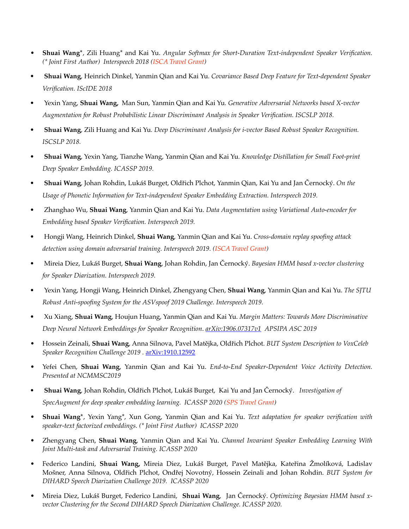- **Shuai Wang\***, Zili Huang\* and Kai Yu. *Angular Softmax for Short-Duration Text-independent Speaker Verification. (\* Joint First Author) Interspeech 2018 (ISCA Travel Grant)*
- *•* **Shuai Wang**, Heinrich Dinkel, Yanmin Qian and Kai Yu*. Covariance Based Deep Feature for Text-dependent Speaker Verification. IScIDE 2018*
- *•* Yexin Yang, **Shuai Wang,** Man Sun, Yanmin Qian and Kai Yu*. Generative Adversarial Networks based X-vector Augmentation for Robust Probabilistic Linear Discriminant Analysis in Speaker Verification. ISCSLP 2018.*
- *•* **Shuai Wang**, Zili Huang and Kai Yu*. Deep Discriminant Analysis for i-vector Based Robust Speaker Recognition. ISCSLP 2018.*
- *•* **Shuai Wang**, Yexin Yang, Tianzhe Wang, Yanmin Qian and Kai Yu*. Knowledge Distillation for Small Foot-print Deep Speaker Embedding. ICASSP 2019.*
- *•* **Shuai Wang**, Johan Rohdin, Lukáš Burget, Oldřich Plchot, Yanmin Qian, Kai Yu and Jan Černocký. *On the Usage of Phonetic Information for Text-independent Speaker Embedding Extraction. Interspeech 2019.*
- *•* Zhanghao Wu, **Shuai Wang**, Yanmin Qian and Kai Yu. *Data Augmentation using Variational Auto-encoder for Embedding based Speaker Verification. Interspeech 2019.*
- *•* Hongji Wang, Heinrich Dinkel, **Shuai Wang**, Yanmin Qian and Kai Yu. *Cross-domain replay spoofing attack detection using domain adversarial training. Interspeech 2019. (ISCA Travel Grant)*
- *•* Mireia Diez, Lukáš Burget, **Shuai Wang**, Johan Rohdin, Jan Černocký. *Bayesian HMM based x-vector clustering for Speaker Diarization. Interspeech 2019.*
- *•* Yexin Yang, Hongji Wang, Heinrich Dinkel, Zhengyang Chen, **Shuai Wang**, Yanmin Qian and Kai Yu. *The SJTU Robust Anti-spoofing System for the ASVspoof 2019 Challenge. Interspeech 2019.*
- *•* Xu Xiang, **Shuai Wang**, Houjun Huang, Yanmin Qian and Kai Yu. *Margin Matters: Towards More Discriminative Deep Neural Network Embeddings for Speaker Recognition*. *[arXiv:1906.07317v1](https://arxiv.org/abs/1906.07317v1) APSIPA ASC 2019*
- Hossein Zeinali, **Shuai Wang**, Anna Silnova, Pavel Matějka, Oldřich Plchot. *BUT System Description to VoxCeleb Speaker Recognition Challenge 2019 .* [arXiv:1910.12592](https://arxiv.org/abs/1910.12592)
- Yefei Chen, **Shuai Wang**, Yanmin Qian and Kai Yu. *End-to-End Speaker-Dependent Voice Activity Detection. Presented at NCMMSC2019*
- *•* **Shuai Wang**, Johan Rohdin, Oldřich Plchot, Lukáš Burget, Kai Yu and Jan Černocký. *Investigation of SpecAugment for deep speaker embedding learning. ICASSP 2020 (SPS Travel Grant)*
- **Shuai Wang\***, Yexin Yang\*, Xun Gong, Yanmin Qian and Kai Yu. *Text adaptation for speaker verification with speaker-text factorized embeddings. (\* Joint First Author) ICASSP 2020*
- Zhengyang Chen, **Shuai Wang**, Yanmin Qian and Kai Yu. *Channel Invariant Speaker Embedding Learning With Joint Multi-task and Adversarial Training. ICASSP 2020*
- Federico Landini, **Shuai Wang,** Mireia Diez, Lukáš Burget, Pavel Matějka, Kateřina Žmolíková, Ladislav Mošner, Anna Silnova, Oldřich Plchot, Ondřej Novotný, Hossein Zeinali and Johan Rohdin. *BUT System for DIHARD Speech Diarization Challenge 2019. ICASSP 2020*
- Mireia Diez, Lukáš Burget, Federico Landini, **Shuai Wang**, Jan Černocký. *Optimizing Bayesian HMM based xvector Clustering for the Second DIHARD Speech Diarization Challenge. ICASSP 2020.*